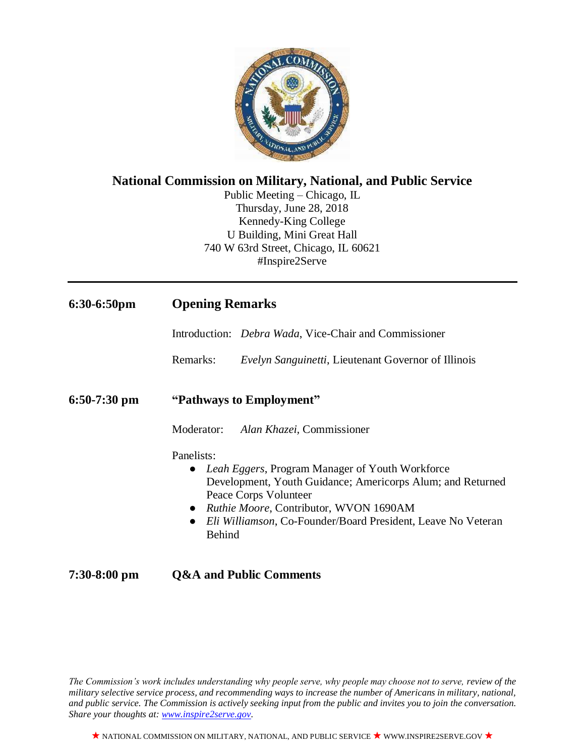

# **National Commission on Military, National, and Public Service**

Public Meeting – Chicago, IL Thursday, June 28, 2018 Kennedy-King College U Building, Mini Great Hall 740 W 63rd Street, Chicago, IL 60621 #Inspire2Serve

| $6:30-6:50$ pm | <b>Opening Remarks</b>                                                                                                                                                                                                                                                                                   |
|----------------|----------------------------------------------------------------------------------------------------------------------------------------------------------------------------------------------------------------------------------------------------------------------------------------------------------|
|                | Introduction: <i>Debra Wada</i> , Vice-Chair and Commissioner                                                                                                                                                                                                                                            |
|                | Remarks:<br><i>Evelyn Sanguinetti</i> , Lieutenant Governor of Illinois                                                                                                                                                                                                                                  |
| $6:50-7:30$ pm | "Pathways to Employment"                                                                                                                                                                                                                                                                                 |
|                | <i>Alan Khazei</i> , Commissioner<br>Moderator:                                                                                                                                                                                                                                                          |
|                | Panelists:<br>• Leah Eggers, Program Manager of Youth Workforce<br>Development, Youth Guidance; Americorps Alum; and Returned<br>Peace Corps Volunteer<br>• <i>Ruthie Moore</i> , Contributor, WVON 1690AM<br>Eli Williamson, Co-Founder/Board President, Leave No Veteran<br>$\bullet$<br><b>Behind</b> |
| $7:30-8:00$ pm | <b>Q&amp;A and Public Comments</b>                                                                                                                                                                                                                                                                       |

*The Commission's work includes understanding why people serve, why people may choose not to serve, review of the military selective service process, and recommending ways to increase the number of Americans in military, national, and public service. The Commission is actively seeking input from the public and invites you to join the conversation. Share your thoughts at: [www.inspire2serve.gov.](http://www.inspire2serve.gov/)*